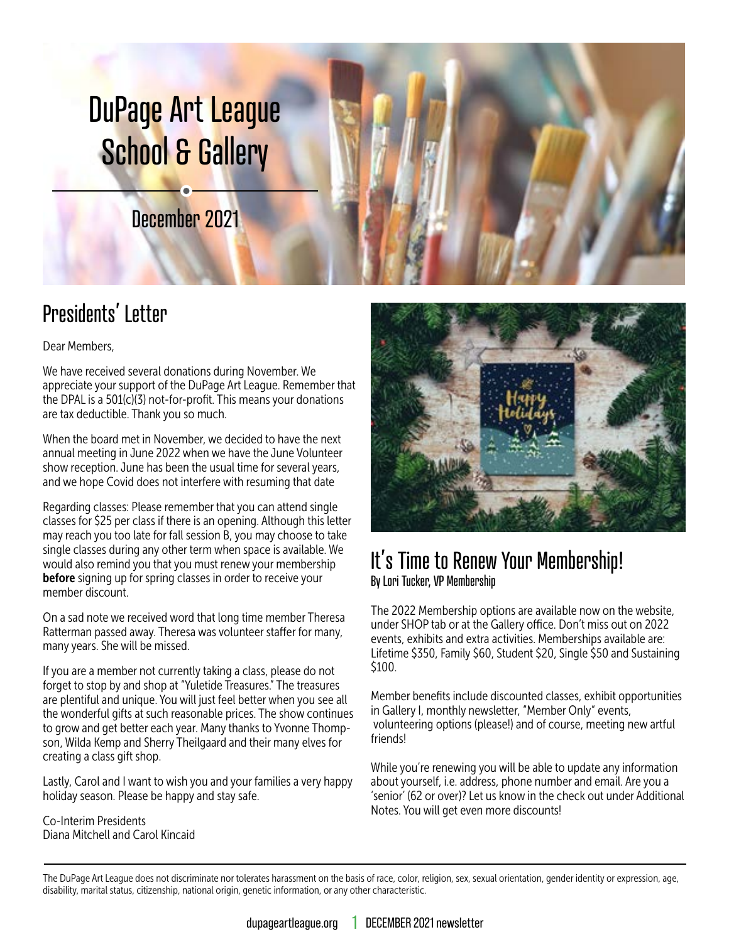# DuPage Art League School & Gallery

December 2021

## Presidents' Letter

Dear Members,

We have received several donations during November. We appreciate your support of the DuPage Art League. Remember that the DPAL is a 501(c)(3) not-for-profit. This means your donations are tax deductible. Thank you so much.

When the board met in November, we decided to have the next annual meeting in June 2022 when we have the June Volunteer show reception. June has been the usual time for several years, and we hope Covid does not interfere with resuming that date

Regarding classes: Please remember that you can attend single classes for \$25 per class if there is an opening. Although this letter may reach you too late for fall session B, you may choose to take single classes during any other term when space is available. We would also remind you that you must renew your membership **before** signing up for spring classes in order to receive your member discount.

On a sad note we received word that long time member Theresa Ratterman passed away. Theresa was volunteer staffer for many, many years. She will be missed.

If you are a member not currently taking a class, please do not forget to stop by and shop at "Yuletide Treasures." The treasures are plentiful and unique. You will just feel better when you see all the wonderful gifts at such reasonable prices. The show continues to grow and get better each year. Many thanks to Yvonne Thompson, Wilda Kemp and Sherry Theilgaard and their many elves for creating a class gift shop.

Lastly, Carol and I want to wish you and your families a very happy holiday season. Please be happy and stay safe.

Co-Interim Presidents Diana Mitchell and Carol Kincaid



#### It's Time to Renew Your Membership! By Lori Tucker, VP Membership

The 2022 Membership options are available now on the website, under SHOP tab or at the Gallery office. Don't miss out on 2022 events, exhibits and extra activities. Memberships available are: Lifetime \$350, Family \$60, Student \$20, Single \$50 and Sustaining \$100.

Member benefits include discounted classes, exhibit opportunities in Gallery I, monthly newsletter, "Member Only" events, volunteering options (please!) and of course, meeting new artful friends!

While you're renewing you will be able to update any information about yourself, i.e. address, phone number and email. Are you a 'senior' (62 or over)? Let us know in the check out under Additional Notes. You will get even more discounts!

The DuPage Art League does not discriminate nor tolerates harassment on the basis of race, color, religion, sex, sexual orientation, gender identity or expression, age, disability, marital status, citizenship, national origin, genetic information, or any other characteristic.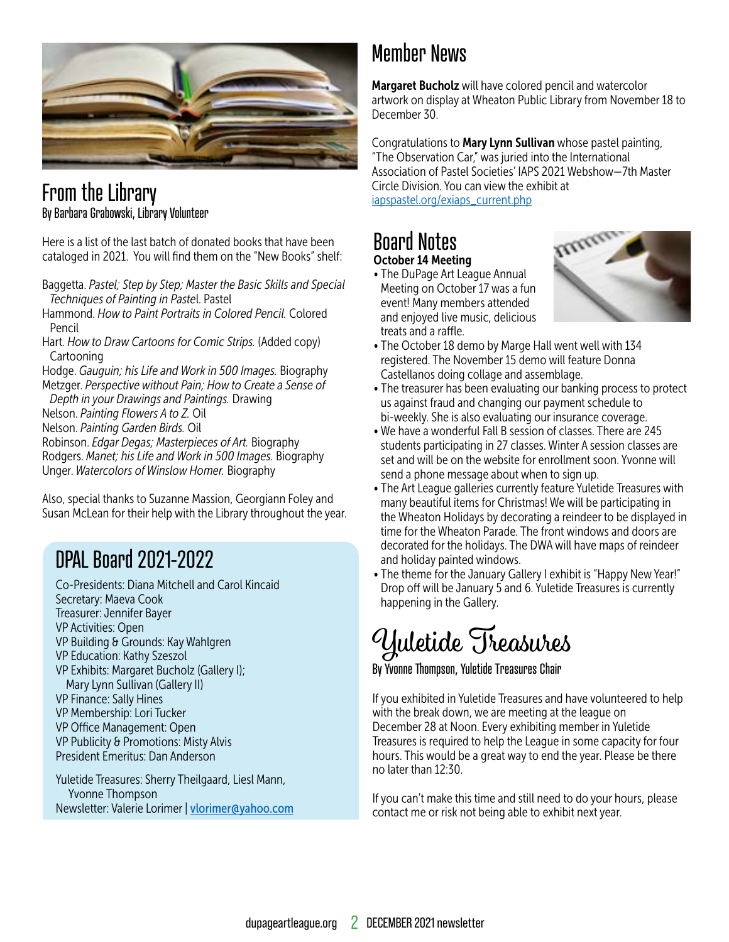![](_page_1_Picture_0.jpeg)

#### From the Library By Barbara Grabowski, Library Volunteer

Here is a list of the last batch of donated books that have been cataloged in 2021. You will find them on the "New Books" shelf:

- Baggetta. *Pastel; Step by Step; Master the Basic Skills and Special Techniques of Painting in Paste*l. Pastel
- Hammond. *How to Paint Portraits in Colored Pencil.* Colored Pencil
- Hart. *How to Draw Cartoons for Comic Strips.* (Added copy) Cartooning
- Hodge. *Gauguin; his Life and Work in 500 Images.* Biography Metzger. *Perspective without Pain; How to Create a Sense of Depth in your Drawings and Paintings.* Drawing
- Nelson. *Painting Flowers A to Z.* Oil
- 
- Nelson. *Painting Garden Birds.* Oil
- Robinson. *Edgar Degas; Masterpieces of Art.* Biography Rodgers. *Manet; his Life and Work in 500 Images.* Biography Unger. *Watercolors of Winslow Homer.* Biography

Also, special thanks to Suzanne Massion, Georgiann Foley and Susan McLean for their help with the Library throughout the year.

### DPAL Board 2021-2022

- Co-Presidents: Diana Mitchell and Carol Kincaid Secretary: Maeva Cook Treasurer: Jennifer Bayer VP Activities: Open VP Building & Grounds: Kay Wahlgren VP Education: Kathy Szeszol VP Exhibits: Margaret Bucholz (Gallery I); Mary Lynn Sullivan (Gallery II) VP Finance: Sally Hines VP Membership: Lori Tucker VP Office Management: Open VP Publicity & Promotions: Misty Alvis President Emeritus: Dan Anderson Yuletide Treasures: Sherry Theilgaard, Liesl Mann, Yvonne Thompson
- Newsletter: Valerie Lorimer | [vlorimer@yahoo.com](mailto:vlorimer%40yahoo.com?subject=)

### Member News

Margaret Bucholz will have colored pencil and watercolor artwork on display at Wheaton Public Library from November 18 to December 30.

Congratulations to Mary Lynn Sullivan whose pastel painting, "The Observation Car," was juried into the International Association of Pastel Societies' IAPS 2021 Webshow—7th Master Circle Division. You can view the exhibit at [iapspastel.org/exiaps\\_current.php](http://iapspastel.org/exiaps_current.php)

#### Board Notes October 14 Meeting

• The DuPage Art League Annual Meeting on October 17 was a fun event! Many members attended and enjoyed live music, delicious treats and a raffle.

![](_page_1_Picture_20.jpeg)

- The October 18 demo by Marge Hall went well with 134 registered. The November 15 demo will feature Donna Castellanos doing collage and assemblage.
- The treasurer has been evaluating our banking process to protect us against fraud and changing our payment schedule to bi-weekly. She is also evaluating our insurance coverage.
- We have a wonderful Fall B session of classes. There are 245 students participating in 27 classes. Winter A session classes are set and will be on the website for enrollment soon. Yvonne will send a phone message about when to sign up.
- The Art League galleries currently feature Yuletide Treasures with many beautiful items for Christmas! We will be participating in the Wheaton Holidays by decorating a reindeer to be displayed in time for the Wheaton Parade. The front windows and doors are decorated for the holidays. The DWA will have maps of reindeer and holiday painted windows.
- The theme for the January Gallery I exhibit is "Happy New Year!" Drop off will be January 5 and 6. Yuletide Treasures is currently happening in the Gallery.

## Yuletide Treasures

By Yvonne Thompson, Yuletide Treasures Chair

If you exhibited in Yuletide Treasures and have volunteered to help with the break down, we are meeting at the league on December 28 at Noon. Every exhibiting member in Yuletide Treasures is required to help the League in some capacity for four hours. This would be a great way to end the year. Please be there no later than 12:30.

If you can't make this time and still need to do your hours, please contact me or risk not being able to exhibit next year.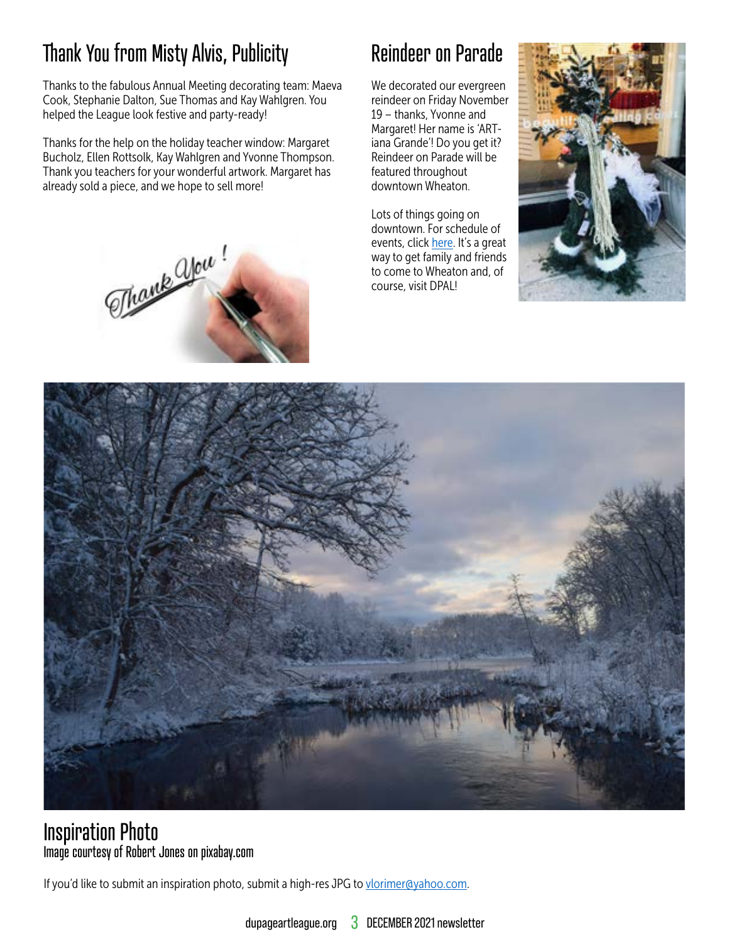## Thank You from Misty Alvis, Publicity

Thanks to the fabulous Annual Meeting decorating team: Maeva Cook, Stephanie Dalton, Sue Thomas and Kay Wahlgren. You helped the League look festive and party-ready!

Thanks for the help on the holiday teacher window: Margaret Bucholz, Ellen Rottsolk, Kay Wahlgren and Yvonne Thompson. Thank you teachers for your wonderful artwork. Margaret has already sold a piece, and we hope to sell more!

## Reindeer on Parade

We decorated our evergreen reindeer on Friday November 19 – thanks, Yvonne and Margaret! Her name is 'ARTiana Grande'! Do you get it? Reindeer on Parade will be featured throughout downtown Wheaton.

Lots of things going on downtown. For schedule of events, click [here.](https://www.downtownwheaton.com/events/) It's a great way to get family and friends to come to Wheaton and, of course, visit DPAL!

![](_page_2_Picture_6.jpeg)

![](_page_2_Picture_7.jpeg)

#### Inspiration Photo Image courtesy of Robert Jones on pixabay.com

If you'd like to submit an inspiration photo, submit a high-res JPG to [vlorimer@yahoo.com](mailto:vlorimer@yahoo.com).

![](_page_2_Picture_11.jpeg)